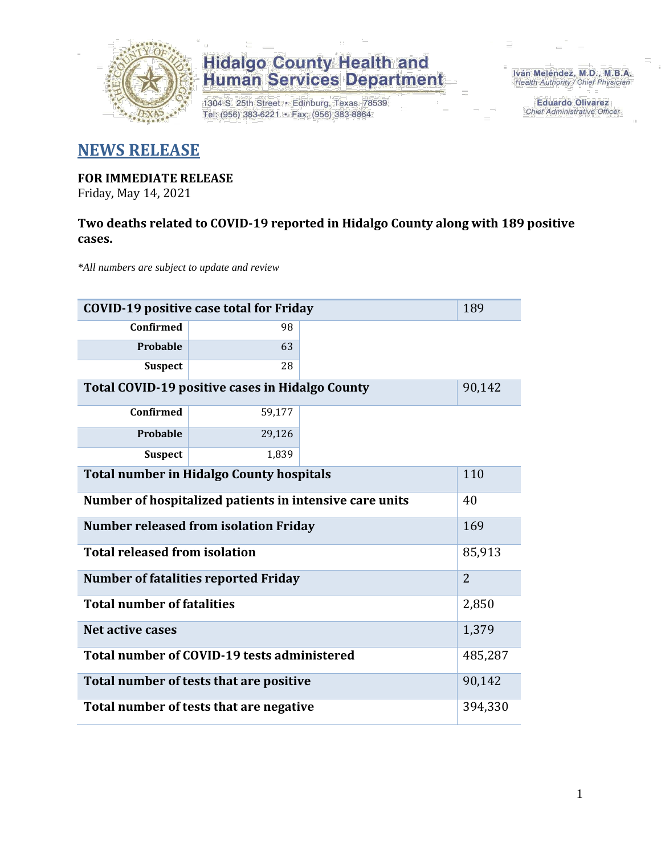

1304 S. 25th Street · Edinburg, Texas 78539 Tel: (956) 383-6221 · Fax: (956) 383-8864

Iván Meléndez, M.D., M.B.A. Health Authority / Chief Physician

> **Eduardo Olivarez Chief Administrative Officer**

### **NEWS RELEASE**

### **FOR IMMEDIATE RELEASE**

Friday, May 14, 2021

#### **Two deaths related to COVID-19 reported in Hidalgo County along with 189 positive cases.**

*\*All numbers are subject to update and review*

| 189<br><b>COVID-19 positive case total for Friday</b>   |                |  |  |  |  |  |  |
|---------------------------------------------------------|----------------|--|--|--|--|--|--|
| Confirmed                                               | 98             |  |  |  |  |  |  |
| Probable                                                | 63             |  |  |  |  |  |  |
| <b>Suspect</b>                                          | 28             |  |  |  |  |  |  |
| <b>Total COVID-19 positive cases in Hidalgo County</b>  |                |  |  |  |  |  |  |
| <b>Confirmed</b>                                        | 59,177         |  |  |  |  |  |  |
| Probable                                                | 29,126         |  |  |  |  |  |  |
| <b>Suspect</b>                                          | 1,839          |  |  |  |  |  |  |
| <b>Total number in Hidalgo County hospitals</b>         |                |  |  |  |  |  |  |
| Number of hospitalized patients in intensive care units |                |  |  |  |  |  |  |
| <b>Number released from isolation Friday</b><br>169     |                |  |  |  |  |  |  |
| <b>Total released from isolation</b>                    |                |  |  |  |  |  |  |
| <b>Number of fatalities reported Friday</b>             | $\overline{2}$ |  |  |  |  |  |  |
| <b>Total number of fatalities</b>                       | 2,850          |  |  |  |  |  |  |
| Net active cases                                        | 1,379          |  |  |  |  |  |  |
| Total number of COVID-19 tests administered             | 485,287        |  |  |  |  |  |  |
| Total number of tests that are positive                 |                |  |  |  |  |  |  |
| Total number of tests that are negative                 |                |  |  |  |  |  |  |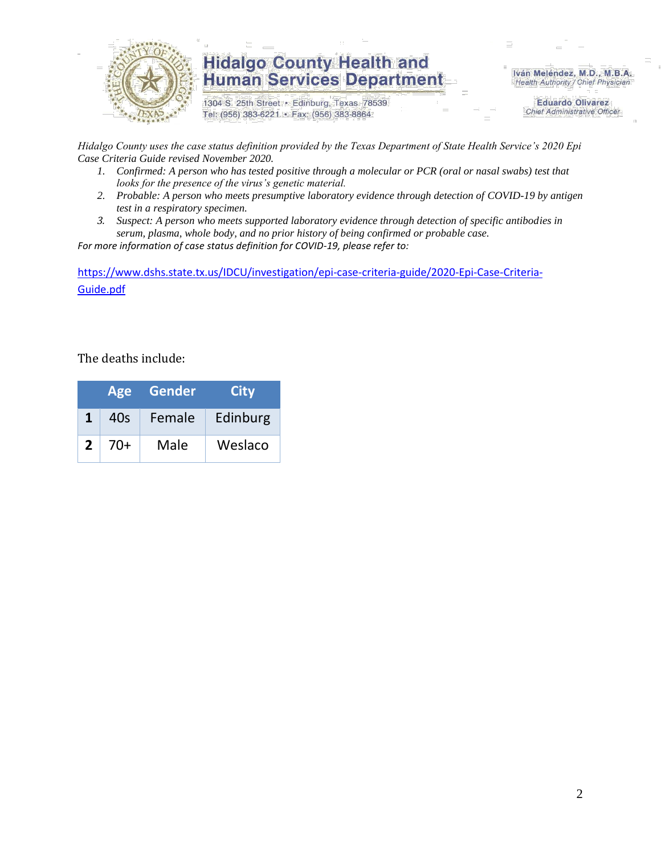

1304 S. 25th Street · Edinburg, Texas 78539 Tel: (956) 383-6221 · Fax: (956) 383-8864

Iván Meléndez, M.D., M.B.A. Health Authority / Chief Physician

> **Eduardo Olivarez Chief Administrative Officer**

*Hidalgo County uses the case status definition provided by the Texas Department of State Health Service's 2020 Epi Case Criteria Guide revised November 2020.*

- *1. Confirmed: A person who has tested positive through a molecular or PCR (oral or nasal swabs) test that looks for the presence of the virus's genetic material.*
- *2. Probable: A person who meets presumptive laboratory evidence through detection of COVID-19 by antigen test in a respiratory specimen.*
- *3. Suspect: A person who meets supported laboratory evidence through detection of specific antibodies in serum, plasma, whole body, and no prior history of being confirmed or probable case.*

*For more information of case status definition for COVID-19, please refer to:*

[https://www.dshs.state.tx.us/IDCU/investigation/epi-case-criteria-guide/2020-Epi-Case-Criteria-](https://www.dshs.state.tx.us/IDCU/investigation/epi-case-criteria-guide/2020-Epi-Case-Criteria-Guide.pdf)[Guide.pdf](https://www.dshs.state.tx.us/IDCU/investigation/epi-case-criteria-guide/2020-Epi-Case-Criteria-Guide.pdf)

The deaths include:

|              | <b>Age</b> | Gender | <b>City</b> |
|--------------|------------|--------|-------------|
| 1            | 40s        | Female | Edinburg    |
| $\mathbf{2}$ | $70+$      | Male   | Weslaco     |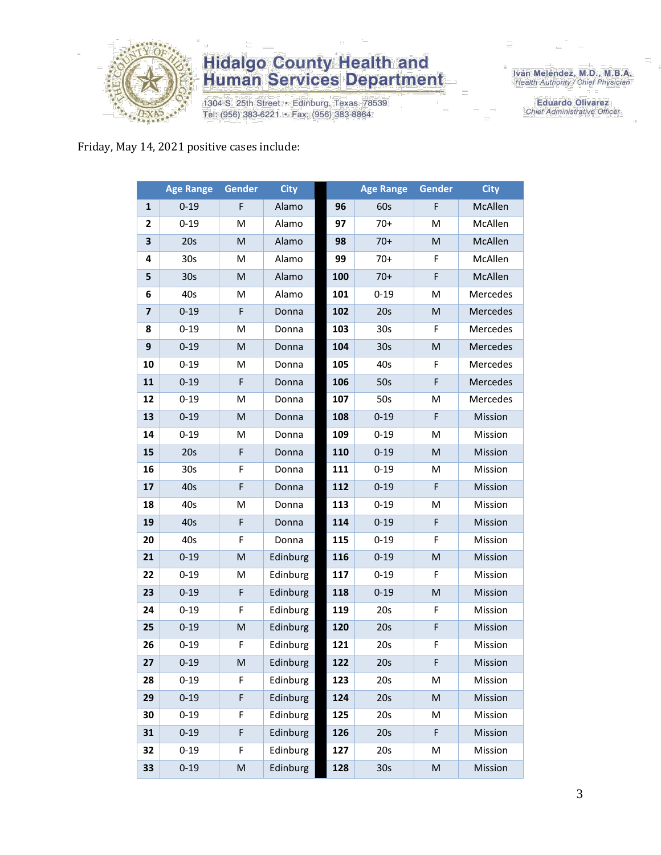

1304 S. 25th Street · Edinburg, Texas 78539 Tel: (956) 383-6221 · Fax: (956) 383-8864

Iván Meléndez, M.D., M.B.A.<br>Health Authority / Chief Physician

**Eduardo Olivarez** Chief Administrative Officer

#### Friday, May 14, 2021 positive cases include:

|                         | <b>Age Range</b> | Gender    | <b>City</b> |     | <b>Age Range</b> | <b>Gender</b>                                                                                              | <b>City</b> |
|-------------------------|------------------|-----------|-------------|-----|------------------|------------------------------------------------------------------------------------------------------------|-------------|
| $\mathbf{1}$            | $0 - 19$         | F         | Alamo       | 96  | 60s              | F                                                                                                          | McAllen     |
| $\mathbf{2}$            | $0 - 19$         | M         | Alamo       | 97  | $70+$            | M                                                                                                          | McAllen     |
| 3                       | 20s              | M         | Alamo       | 98  | $70+$            | ${\sf M}$                                                                                                  | McAllen     |
| 4                       | 30 <sub>s</sub>  | M         | Alamo       | 99  | $70+$            | F                                                                                                          | McAllen     |
| 5                       | 30 <sub>s</sub>  | M         | Alamo       | 100 | $70+$            | F                                                                                                          | McAllen     |
| 6                       | 40s              | M         | Alamo       | 101 | $0 - 19$         | M                                                                                                          | Mercedes    |
| $\overline{\mathbf{z}}$ | $0 - 19$         | F         | Donna       | 102 | 20s              | ${\sf M}$                                                                                                  | Mercedes    |
| 8                       | $0 - 19$         | M         | Donna       | 103 | 30 <sub>s</sub>  | F                                                                                                          | Mercedes    |
| 9                       | $0 - 19$         | ${\sf M}$ | Donna       | 104 | 30 <sub>s</sub>  | ${\sf M}$                                                                                                  | Mercedes    |
| 10                      | $0 - 19$         | M         | Donna       | 105 | 40s              | F                                                                                                          | Mercedes    |
| 11                      | $0 - 19$         | F         | Donna       | 106 | 50s              | F                                                                                                          | Mercedes    |
| 12                      | $0 - 19$         | M         | Donna       | 107 | 50s              | M                                                                                                          | Mercedes    |
| 13                      | $0 - 19$         | M         | Donna       | 108 | $0 - 19$         | $\mathsf F$                                                                                                | Mission     |
| 14                      | $0 - 19$         | M         | Donna       | 109 | $0 - 19$         | M                                                                                                          | Mission     |
| 15                      | 20s              | F         | Donna       | 110 | $0 - 19$         | M                                                                                                          | Mission     |
| 16                      | 30 <sub>s</sub>  | F         | Donna       | 111 | $0 - 19$         | M                                                                                                          | Mission     |
| 17                      | 40s              | F         | Donna       | 112 | $0 - 19$         | F                                                                                                          | Mission     |
| 18                      | 40s              | M         | Donna       | 113 | $0 - 19$         | M                                                                                                          | Mission     |
| 19                      | 40s              | F         | Donna       | 114 | $0 - 19$         | $\mathsf F$                                                                                                | Mission     |
| 20                      | 40s              | F         | Donna       | 115 | $0 - 19$         | F                                                                                                          | Mission     |
| 21                      | $0 - 19$         | M         | Edinburg    | 116 | $0 - 19$         | ${\sf M}$                                                                                                  | Mission     |
| 22                      | $0 - 19$         | M         | Edinburg    | 117 | $0 - 19$         | F                                                                                                          | Mission     |
| 23                      | $0 - 19$         | F         | Edinburg    | 118 | $0 - 19$         | ${\sf M}$                                                                                                  | Mission     |
| 24                      | $0 - 19$         | F         | Edinburg    | 119 | 20s              | F                                                                                                          | Mission     |
| 25                      | $0 - 19$         | M         | Edinburg    | 120 | 20s              | F                                                                                                          | Mission     |
| 26                      | $0 - 19$         | F         | Edinburg    | 121 | 20s              | F                                                                                                          | Mission     |
| 27                      | $0 - 19$         | M         | Edinburg    | 122 | 20s              | F                                                                                                          | Mission     |
| 28                      | $0 - 19$         | F         | Edinburg    | 123 | 20s              | М                                                                                                          | Mission     |
| 29                      | $0 - 19$         | F         | Edinburg    | 124 | 20s              | $\mathsf{M}% _{T}=\mathsf{M}_{T}\!\left( a,b\right) ,\ \mathsf{M}_{T}=\mathsf{M}_{T}\!\left( a,b\right) ,$ | Mission     |
| 30                      | $0 - 19$         | F         | Edinburg    | 125 | 20s              | M                                                                                                          | Mission     |
| 31                      | $0 - 19$         | F         | Edinburg    | 126 | 20s              | F                                                                                                          | Mission     |
| 32                      | $0 - 19$         | F         | Edinburg    | 127 | 20s              | M                                                                                                          | Mission     |
| 33                      | $0 - 19$         | M         | Edinburg    | 128 | 30s              | ${\sf M}$                                                                                                  | Mission     |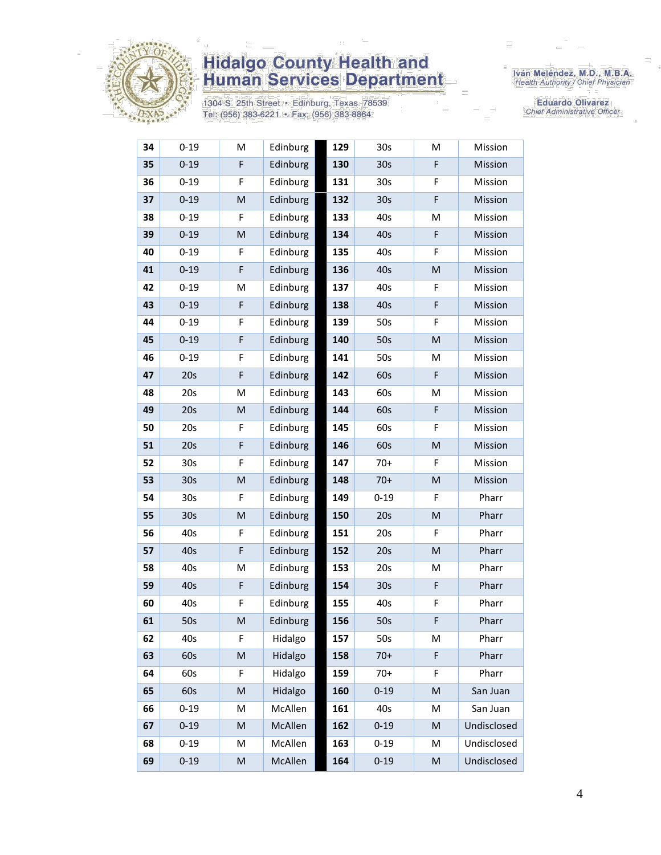

1304 S. 25th Street · Edinburg, Texas 78539 Tel: (956) 383-6221 · Fax: (956) 383-8864

Iván Meléndez, M.D., M.B.A.<br>Health Authority / Chief Physician

**Eduardo Olivarez** Chief Administrative Officer

| 34 | $0 - 19$        | M         | Edinburg | 129 | 30s             | M                                                                                                          | Mission     |
|----|-----------------|-----------|----------|-----|-----------------|------------------------------------------------------------------------------------------------------------|-------------|
| 35 | $0 - 19$        | F         | Edinburg | 130 | 30 <sub>s</sub> | F                                                                                                          | Mission     |
| 36 | $0 - 19$        | F         | Edinburg | 131 | 30s             | F                                                                                                          | Mission     |
| 37 | $0 - 19$        | M         | Edinburg | 132 | 30 <sub>s</sub> | F                                                                                                          | Mission     |
| 38 | $0 - 19$        | F         | Edinburg | 133 | 40s             | M                                                                                                          | Mission     |
| 39 | $0 - 19$        | ${\sf M}$ | Edinburg | 134 | 40s             | $\mathsf F$                                                                                                | Mission     |
| 40 | $0 - 19$        | F         | Edinburg | 135 | 40s             | F                                                                                                          | Mission     |
| 41 | $0 - 19$        | F         | Edinburg | 136 | 40s             | ${\sf M}$                                                                                                  | Mission     |
| 42 | $0 - 19$        | M         | Edinburg | 137 | 40s             | F                                                                                                          | Mission     |
| 43 | $0 - 19$        | F         | Edinburg | 138 | 40s             | F                                                                                                          | Mission     |
| 44 | $0 - 19$        | F         | Edinburg | 139 | 50s             | F                                                                                                          | Mission     |
| 45 | $0 - 19$        | F         | Edinburg | 140 | 50s             | $\mathsf{M}% _{T}=\mathsf{M}_{T}\!\left( a,b\right) ,\ \mathsf{M}_{T}=\mathsf{M}_{T}\!\left( a,b\right) ,$ | Mission     |
| 46 | $0 - 19$        | F         | Edinburg | 141 | 50s             | M                                                                                                          | Mission     |
| 47 | 20s             | F         | Edinburg | 142 | 60s             | $\mathsf F$                                                                                                | Mission     |
| 48 | 20s             | M         | Edinburg | 143 | 60s             | M                                                                                                          | Mission     |
| 49 | 20s             | M         | Edinburg | 144 | 60s             | F                                                                                                          | Mission     |
| 50 | 20s             | F         | Edinburg | 145 | 60s             | F                                                                                                          | Mission     |
| 51 | 20s             | F         | Edinburg | 146 | 60s             | $\mathsf{M}% _{T}=\mathsf{M}_{T}\!\left( a,b\right) ,\ \mathsf{M}_{T}=\mathsf{M}_{T}\!\left( a,b\right) ,$ | Mission     |
| 52 | 30 <sub>s</sub> | F         | Edinburg | 147 | $70+$           | F                                                                                                          | Mission     |
| 53 | 30s             | M         | Edinburg | 148 | $70+$           | $\mathsf{M}% _{T}=\mathsf{M}_{T}\!\left( a,b\right) ,\ \mathsf{M}_{T}=\mathsf{M}_{T}\!\left( a,b\right) ,$ | Mission     |
| 54 | 30 <sub>s</sub> | F         | Edinburg | 149 | $0 - 19$        | F                                                                                                          | Pharr       |
| 55 | 30 <sub>s</sub> | ${\sf M}$ | Edinburg | 150 | 20s             | ${\sf M}$                                                                                                  | Pharr       |
| 56 | 40s             | F         | Edinburg | 151 | 20s             | F                                                                                                          | Pharr       |
| 57 | 40s             | F         | Edinburg | 152 | 20s             | $\mathsf{M}% _{T}=\mathsf{M}_{T}\!\left( a,b\right) ,\ \mathsf{M}_{T}=\mathsf{M}_{T}\!\left( a,b\right) ,$ | Pharr       |
| 58 | 40s             | M         | Edinburg | 153 | 20s             | M                                                                                                          | Pharr       |
| 59 | 40s             | F         | Edinburg | 154 | 30 <sub>s</sub> | $\mathsf F$                                                                                                | Pharr       |
| 60 | 40s             | F         | Edinburg | 155 | 40s             | F                                                                                                          | Pharr       |
| 61 | 50s             | ${\sf M}$ | Edinburg | 156 | 50s             | F                                                                                                          | Pharr       |
| 62 | 40s             | F         | Hidalgo  | 157 | 50s             | M                                                                                                          | Pharr       |
| 63 | 60s             | M         | Hidalgo  | 158 | $70+$           | F                                                                                                          | Pharr       |
| 64 | 60s             | F         | Hidalgo  | 159 | $70+$           | F                                                                                                          | Pharr       |
| 65 | 60s             | M         | Hidalgo  | 160 | $0 - 19$        | ${\sf M}$                                                                                                  | San Juan    |
| 66 | $0 - 19$        | M         | McAllen  | 161 | 40s             | M                                                                                                          | San Juan    |
| 67 | $0 - 19$        | M         | McAllen  | 162 | $0 - 19$        | $\mathsf{M}% _{T}=\mathsf{M}_{T}\!\left( a,b\right) ,\ \mathsf{M}_{T}=\mathsf{M}_{T}$                      | Undisclosed |
| 68 | $0 - 19$        | M         | McAllen  | 163 | $0 - 19$        | M                                                                                                          | Undisclosed |
| 69 | $0 - 19$        | ${\sf M}$ | McAllen  | 164 | $0 - 19$        | ${\sf M}$                                                                                                  | Undisclosed |